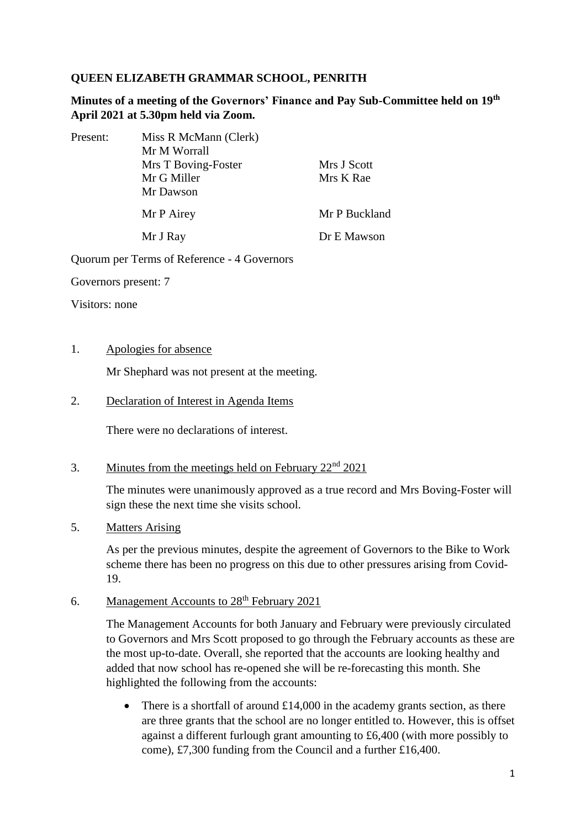## **QUEEN ELIZABETH GRAMMAR SCHOOL, PENRITH**

**Minutes of a meeting of the Governors' Finance and Pay Sub-Committee held on 19th April 2021 at 5.30pm held via Zoom.**

| Present: | Miss R McMann (Clerk) |               |
|----------|-----------------------|---------------|
|          | Mr M Worrall          |               |
|          | Mrs T Boving-Foster   | Mrs J Scott   |
|          | Mr G Miller           | Mrs K Rae     |
|          | Mr Dawson             |               |
|          | Mr P Airey            | Mr P Buckland |
|          | Mr J Ray              | Dr E Mawson   |

Quorum per Terms of Reference - 4 Governors

Governors present: 7

Visitors: none

### 1. Apologies for absence

Mr Shephard was not present at the meeting.

2. Declaration of Interest in Agenda Items

There were no declarations of interest.

# 3. Minutes from the meetings held on February  $22<sup>nd</sup> 2021$

The minutes were unanimously approved as a true record and Mrs Boving-Foster will sign these the next time she visits school.

5. Matters Arising

As per the previous minutes, despite the agreement of Governors to the Bike to Work scheme there has been no progress on this due to other pressures arising from Covid-19.

6. Management Accounts to 28<sup>th</sup> February 2021

The Management Accounts for both January and February were previously circulated to Governors and Mrs Scott proposed to go through the February accounts as these are the most up-to-date. Overall, she reported that the accounts are looking healthy and added that now school has re-opened she will be re-forecasting this month. She highlighted the following from the accounts:

• There is a shortfall of around  $£14,000$  in the academy grants section, as there are three grants that the school are no longer entitled to. However, this is offset against a different furlough grant amounting to £6,400 (with more possibly to come), £7,300 funding from the Council and a further £16,400.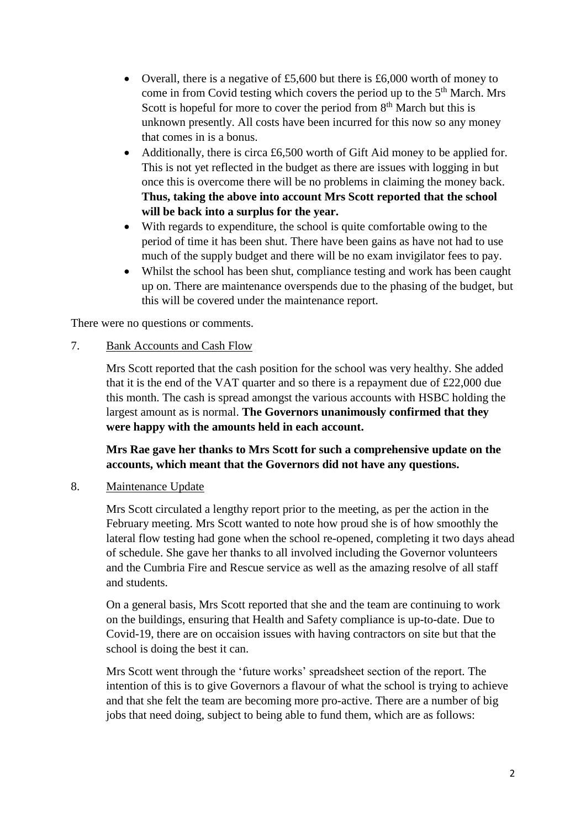- Overall, there is a negative of £5,600 but there is £6,000 worth of money to come in from Covid testing which covers the period up to the  $5<sup>th</sup>$  March. Mrs Scott is hopeful for more to cover the period from  $8<sup>th</sup>$  March but this is unknown presently. All costs have been incurred for this now so any money that comes in is a bonus.
- Additionally, there is circa £6,500 worth of Gift Aid money to be applied for. This is not yet reflected in the budget as there are issues with logging in but once this is overcome there will be no problems in claiming the money back. **Thus, taking the above into account Mrs Scott reported that the school will be back into a surplus for the year.**
- With regards to expenditure, the school is quite comfortable owing to the period of time it has been shut. There have been gains as have not had to use much of the supply budget and there will be no exam invigilator fees to pay.
- Whilst the school has been shut, compliance testing and work has been caught up on. There are maintenance overspends due to the phasing of the budget, but this will be covered under the maintenance report.

There were no questions or comments.

## 7. Bank Accounts and Cash Flow

Mrs Scott reported that the cash position for the school was very healthy. She added that it is the end of the VAT quarter and so there is a repayment due of £22,000 due this month. The cash is spread amongst the various accounts with HSBC holding the largest amount as is normal. **The Governors unanimously confirmed that they were happy with the amounts held in each account.**

**Mrs Rae gave her thanks to Mrs Scott for such a comprehensive update on the accounts, which meant that the Governors did not have any questions.** 

#### 8. Maintenance Update

Mrs Scott circulated a lengthy report prior to the meeting, as per the action in the February meeting. Mrs Scott wanted to note how proud she is of how smoothly the lateral flow testing had gone when the school re-opened, completing it two days ahead of schedule. She gave her thanks to all involved including the Governor volunteers and the Cumbria Fire and Rescue service as well as the amazing resolve of all staff and students.

On a general basis, Mrs Scott reported that she and the team are continuing to work on the buildings, ensuring that Health and Safety compliance is up-to-date. Due to Covid-19, there are on occaision issues with having contractors on site but that the school is doing the best it can.

Mrs Scott went through the 'future works' spreadsheet section of the report. The intention of this is to give Governors a flavour of what the school is trying to achieve and that she felt the team are becoming more pro-active. There are a number of big jobs that need doing, subject to being able to fund them, which are as follows: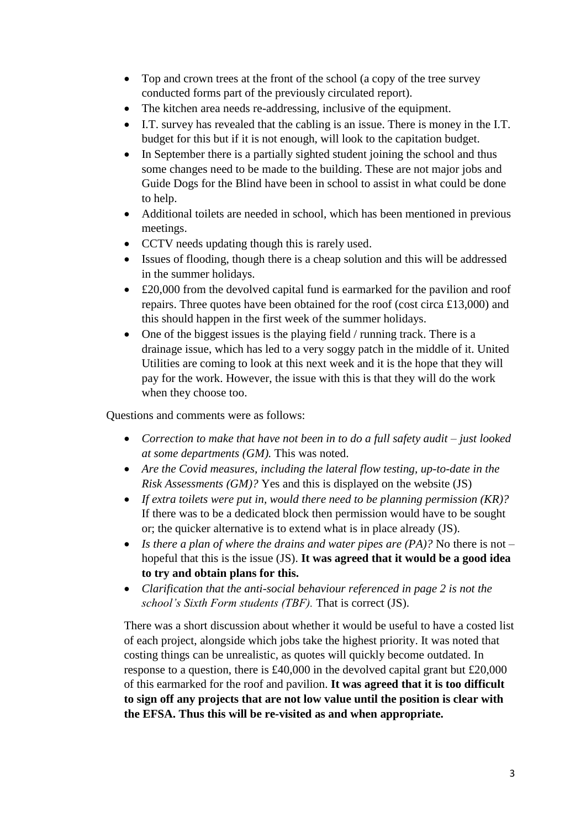- Top and crown trees at the front of the school (a copy of the tree survey conducted forms part of the previously circulated report).
- The kitchen area needs re-addressing, inclusive of the equipment.
- I.T. survey has revealed that the cabling is an issue. There is money in the I.T. budget for this but if it is not enough, will look to the capitation budget.
- In September there is a partially sighted student joining the school and thus some changes need to be made to the building. These are not major jobs and Guide Dogs for the Blind have been in school to assist in what could be done to help.
- Additional toilets are needed in school, which has been mentioned in previous meetings.
- CCTV needs updating though this is rarely used.
- Issues of flooding, though there is a cheap solution and this will be addressed in the summer holidays.
- £20,000 from the devolved capital fund is earmarked for the pavilion and roof repairs. Three quotes have been obtained for the roof (cost circa £13,000) and this should happen in the first week of the summer holidays.
- One of the biggest issues is the playing field / running track. There is a drainage issue, which has led to a very soggy patch in the middle of it. United Utilities are coming to look at this next week and it is the hope that they will pay for the work. However, the issue with this is that they will do the work when they choose too.

Questions and comments were as follows:

- *Correction to make that have not been in to do a full safety audit – just looked at some departments (GM).* This was noted.
- *Are the Covid measures, including the lateral flow testing, up-to-date in the Risk Assessments (GM)?* Yes and this is displayed on the website (JS)
- *If extra toilets were put in, would there need to be planning permission (KR)?* If there was to be a dedicated block then permission would have to be sought or; the quicker alternative is to extend what is in place already (JS).
- *Is there a plan of where the drains and water pipes are (PA)?* No there is not hopeful that this is the issue (JS). **It was agreed that it would be a good idea to try and obtain plans for this.**
- *Clarification that the anti-social behaviour referenced in page 2 is not the school's Sixth Form students (TBF).* That is correct (JS).

There was a short discussion about whether it would be useful to have a costed list of each project, alongside which jobs take the highest priority. It was noted that costing things can be unrealistic, as quotes will quickly become outdated. In response to a question, there is £40,000 in the devolved capital grant but £20,000 of this earmarked for the roof and pavilion. **It was agreed that it is too difficult to sign off any projects that are not low value until the position is clear with the EFSA. Thus this will be re-visited as and when appropriate.**